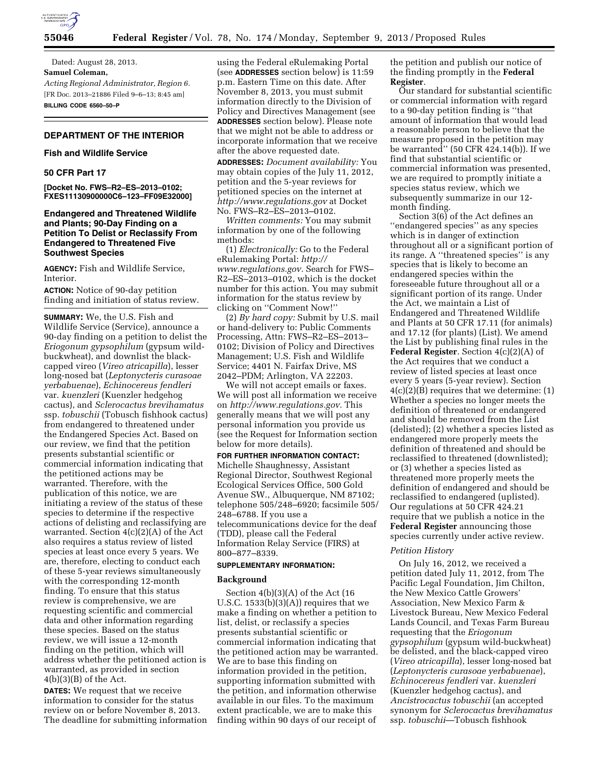

Dated: August 28, 2013. **Samuel Coleman,**  *Acting Regional Administrator, Region 6.*  [FR Doc. 2013–21886 Filed 9–6–13; 8:45 am] **BILLING CODE 6560–50–P** 

# **DEPARTMENT OF THE INTERIOR**

## **Fish and Wildlife Service**

### **50 CFR Part 17**

**[Docket No. FWS–R2–ES–2013–0102; FXES11130900000C6–123–FF09E32000]** 

## **Endangered and Threatened Wildlife and Plants; 90-Day Finding on a Petition To Delist or Reclassify From Endangered to Threatened Five Southwest Species**

**AGENCY:** Fish and Wildlife Service, Interior.

**ACTION:** Notice of 90-day petition finding and initiation of status review.

**SUMMARY:** We, the U.S. Fish and Wildlife Service (Service), announce a 90-day finding on a petition to delist the *Eriogonum gypsophilum* (gypsum wildbuckwheat), and downlist the blackcapped vireo (*Vireo atricapilla*), lesser long-nosed bat (*Leptonycteris curasoae yerbabuenae*), *Echinocereus fendleri*  var. *kuenzleri* (Kuenzler hedgehog cactus), and *Sclerocactus brevihamatus*  ssp. *tobuschii* (Tobusch fishhook cactus) from endangered to threatened under the Endangered Species Act. Based on our review, we find that the petition presents substantial scientific or commercial information indicating that the petitioned actions may be warranted. Therefore, with the publication of this notice, we are initiating a review of the status of these species to determine if the respective actions of delisting and reclassifying are warranted. Section 4(c)(2)(A) of the Act also requires a status review of listed species at least once every 5 years. We are, therefore, electing to conduct each of these 5-year reviews simultaneously with the corresponding 12-month finding. To ensure that this status review is comprehensive, we are requesting scientific and commercial data and other information regarding these species. Based on the status review, we will issue a 12-month finding on the petition, which will address whether the petitioned action is warranted, as provided in section  $4(b)(3)(B)$  of the Act.

**DATES:** We request that we receive information to consider for the status review on or before November 8, 2013. The deadline for submitting information using the Federal eRulemaking Portal (see **ADDRESSES** section below) is 11:59 p.m. Eastern Time on this date. After November 8, 2013, you must submit information directly to the Division of Policy and Directives Management (see **ADDRESSES** section below). Please note that we might not be able to address or incorporate information that we receive after the above requested date.

**ADDRESSES:** *Document availability:* You may obtain copies of the July 11, 2012, petition and the 5-year reviews for petitioned species on the internet at *<http://www.regulations.gov>* at Docket No. FWS–R2–ES–2013–0102.

*Written comments:* You may submit information by one of the following methods:

(1) *Electronically:* Go to the Federal eRulemaking Portal: *[http://](http://www.regulations.gov) [www.regulations.gov.](http://www.regulations.gov)* Search for FWS– R2–ES–2013–0102, which is the docket number for this action. You may submit information for the status review by clicking on ''Comment Now!''

(2) *By hard copy:* Submit by U.S. mail or hand-delivery to: Public Comments Processing, Attn: FWS–R2–ES–2013– 0102; Division of Policy and Directives Management; U.S. Fish and Wildlife Service; 4401 N. Fairfax Drive, MS 2042–PDM; Arlington, VA 22203.

We will not accept emails or faxes. We will post all information we receive on *[http://www.regulations.gov.](http://www.regulations.gov)* This generally means that we will post any personal information you provide us (see the Request for Information section below for more details).

## **FOR FURTHER INFORMATION CONTACT:**

Michelle Shaughnessy, Assistant Regional Director, Southwest Regional Ecological Services Office, 500 Gold Avenue SW., Albuquerque, NM 87102; telephone 505/248–6920; facsimile 505/ 248–6788. If you use a telecommunications device for the deaf (TDD), please call the Federal Information Relay Service (FIRS) at 800–877–8339.

## **SUPPLEMENTARY INFORMATION:**

### **Background**

Section 4(b)(3)(A) of the Act (16 U.S.C.  $1533(b)(3)(A)$  requires that we make a finding on whether a petition to list, delist, or reclassify a species presents substantial scientific or commercial information indicating that the petitioned action may be warranted. We are to base this finding on information provided in the petition, supporting information submitted with the petition, and information otherwise available in our files. To the maximum extent practicable, we are to make this finding within 90 days of our receipt of

the petition and publish our notice of the finding promptly in the **Federal Register**.

Our standard for substantial scientific or commercial information with regard to a 90-day petition finding is ''that amount of information that would lead a reasonable person to believe that the measure proposed in the petition may be warranted'' (50 CFR 424.14(b)). If we find that substantial scientific or commercial information was presented, we are required to promptly initiate a species status review, which we subsequently summarize in our 12 month finding.

Section 3(6) of the Act defines an ''endangered species'' as any species which is in danger of extinction throughout all or a significant portion of its range. A ''threatened species'' is any species that is likely to become an endangered species within the foreseeable future throughout all or a significant portion of its range. Under the Act, we maintain a List of Endangered and Threatened Wildlife and Plants at 50 CFR 17.11 (for animals) and 17.12 (for plants) (List). We amend the List by publishing final rules in the **Federal Register**. Section 4(c)(2)(A) of the Act requires that we conduct a review of listed species at least once every 5 years (5-year review). Section 4(c)(2)(B) requires that we determine: (1) Whether a species no longer meets the definition of threatened or endangered and should be removed from the List (delisted); (2) whether a species listed as endangered more properly meets the definition of threatened and should be reclassified to threatened (downlisted); or (3) whether a species listed as threatened more properly meets the definition of endangered and should be reclassified to endangered (uplisted). Our regulations at 50 CFR 424.21 require that we publish a notice in the **Federal Register** announcing those species currently under active review.

### *Petition History*

On July 16, 2012, we received a petition dated July 11, 2012, from The Pacific Legal Foundation, Jim Chilton, the New Mexico Cattle Growers' Association, New Mexico Farm & Livestock Bureau, New Mexico Federal Lands Council, and Texas Farm Bureau requesting that the *Eriogonum gypsophilum* (gypsum wild-buckwheat) be delisted, and the black-capped vireo (*Vireo atricapilla*), lesser long-nosed bat (*Leptonycteris curasoae yerbabuenae*), *Echinocereus fendleri* var. *kuenzleri*  (Kuenzler hedgehog cactus), and *Ancistrocactus tobuschii* (an accepted synonym for *Sclerocactus brevihamatus*  ssp. *tobuschii*—Tobusch fishhook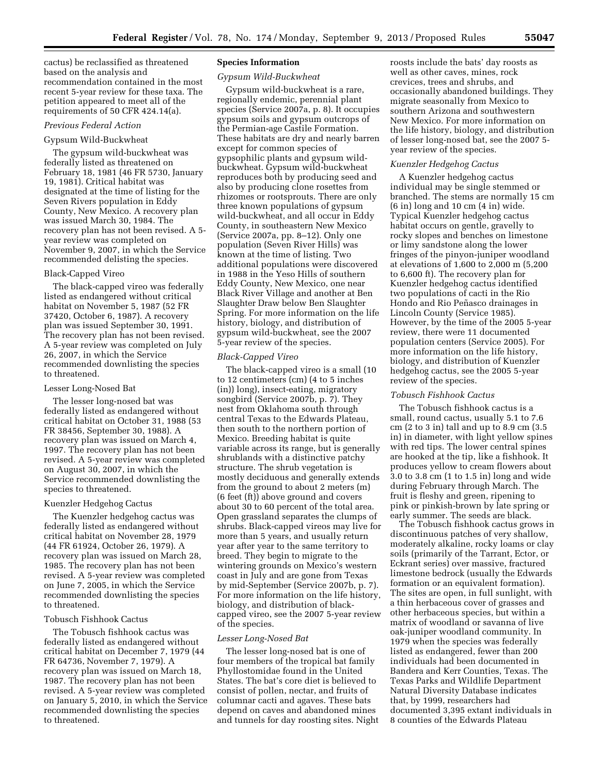cactus) be reclassified as threatened based on the analysis and recommendation contained in the most recent 5-year review for these taxa. The petition appeared to meet all of the requirements of 50 CFR 424.14(a).

#### *Previous Federal Action*

## Gypsum Wild-Buckwheat

The gypsum wild-buckwheat was federally listed as threatened on February 18, 1981 (46 FR 5730, January 19, 1981). Critical habitat was designated at the time of listing for the Seven Rivers population in Eddy County, New Mexico. A recovery plan was issued March 30, 1984. The recovery plan has not been revised. A 5 year review was completed on November 9, 2007, in which the Service recommended delisting the species.

## Black-Capped Vireo

The black-capped vireo was federally listed as endangered without critical habitat on November 5, 1987 (52 FR 37420, October 6, 1987). A recovery plan was issued September 30, 1991. The recovery plan has not been revised. A 5-year review was completed on July 26, 2007, in which the Service recommended downlisting the species to threatened.

#### Lesser Long-Nosed Bat

The lesser long-nosed bat was federally listed as endangered without critical habitat on October 31, 1988 (53 FR 38456, September 30, 1988). A recovery plan was issued on March 4, 1997. The recovery plan has not been revised. A 5-year review was completed on August 30, 2007, in which the Service recommended downlisting the species to threatened.

#### Kuenzler Hedgehog Cactus

The Kuenzler hedgehog cactus was federally listed as endangered without critical habitat on November 28, 1979 (44 FR 61924, October 26, 1979). A recovery plan was issued on March 28, 1985. The recovery plan has not been revised. A 5-year review was completed on June 7, 2005, in which the Service recommended downlisting the species to threatened.

## Tobusch Fishhook Cactus

The Tobusch fishhook cactus was federally listed as endangered without critical habitat on December 7, 1979 (44 FR 64736, November 7, 1979). A recovery plan was issued on March 18, 1987. The recovery plan has not been revised. A 5-year review was completed on January 5, 2010, in which the Service recommended downlisting the species to threatened.

## **Species Information**

## *Gypsum Wild-Buckwheat*

Gypsum wild-buckwheat is a rare, regionally endemic, perennial plant species (Service 2007a, p. 8). It occupies gypsum soils and gypsum outcrops of the Permian-age Castile Formation. These habitats are dry and nearly barren except for common species of gypsophilic plants and gypsum wildbuckwheat. Gypsum wild-buckwheat reproduces both by producing seed and also by producing clone rosettes from rhizomes or rootsprouts. There are only three known populations of gypsum wild-buckwheat, and all occur in Eddy County, in southeastern New Mexico (Service 2007a, pp. 8–12). Only one population (Seven River Hills) was known at the time of listing. Two additional populations were discovered in 1988 in the Yeso Hills of southern Eddy County, New Mexico, one near Black River Village and another at Ben Slaughter Draw below Ben Slaughter Spring. For more information on the life history, biology, and distribution of gypsum wild-buckwheat, see the 2007 5-year review of the species.

### *Black-Capped Vireo*

The black-capped vireo is a small (10 to 12 centimeters (cm) (4 to 5 inches (in)) long), insect-eating, migratory songbird (Service 2007b, p. 7). They nest from Oklahoma south through central Texas to the Edwards Plateau, then south to the northern portion of Mexico. Breeding habitat is quite variable across its range, but is generally shrublands with a distinctive patchy structure. The shrub vegetation is mostly deciduous and generally extends from the ground to about 2 meters (m) (6 feet (ft)) above ground and covers about 30 to 60 percent of the total area. Open grassland separates the clumps of shrubs. Black-capped vireos may live for more than 5 years, and usually return year after year to the same territory to breed. They begin to migrate to the wintering grounds on Mexico's western coast in July and are gone from Texas by mid-September (Service 2007b, p. 7). For more information on the life history, biology, and distribution of blackcapped vireo, see the 2007 5-year review of the species.

## *Lesser Long-Nosed Bat*

The lesser long-nosed bat is one of four members of the tropical bat family Phyllostomidae found in the United States. The bat's core diet is believed to consist of pollen, nectar, and fruits of columnar cacti and agaves. These bats depend on caves and abandoned mines and tunnels for day roosting sites. Night roosts include the bats' day roosts as well as other caves, mines, rock crevices, trees and shrubs, and occasionally abandoned buildings. They migrate seasonally from Mexico to southern Arizona and southwestern New Mexico. For more information on the life history, biology, and distribution of lesser long-nosed bat, see the 2007 5 year review of the species.

#### *Kuenzler Hedgehog Cactus*

A Kuenzler hedgehog cactus individual may be single stemmed or branched. The stems are normally 15 cm (6 in) long and 10 cm (4 in) wide. Typical Kuenzler hedgehog cactus habitat occurs on gentle, gravelly to rocky slopes and benches on limestone or limy sandstone along the lower fringes of the pinyon-juniper woodland at elevations of 1,600 to 2,000 m (5,200 to 6,600 ft). The recovery plan for Kuenzler hedgehog cactus identified two populations of cacti in the Rio Hondo and Rio Peñasco drainages in Lincoln County (Service 1985). However, by the time of the 2005 5-year review, there were 11 documented population centers (Service 2005). For more information on the life history, biology, and distribution of Kuenzler hedgehog cactus, see the 2005 5-year review of the species.

### *Tobusch Fishhook Cactus*

The Tobusch fishhook cactus is a small, round cactus, usually 5.1 to 7.6 cm (2 to 3 in) tall and up to 8.9 cm (3.5 in) in diameter, with light yellow spines with red tips. The lower central spines are hooked at the tip, like a fishhook. It produces yellow to cream flowers about 3.0 to 3.8 cm (1 to 1.5 in) long and wide during February through March. The fruit is fleshy and green, ripening to pink or pinkish-brown by late spring or early summer. The seeds are black.

The Tobusch fishhook cactus grows in discontinuous patches of very shallow, moderately alkaline, rocky loams or clay soils (primarily of the Tarrant, Ector, or Eckrant series) over massive, fractured limestone bedrock (usually the Edwards formation or an equivalent formation). The sites are open, in full sunlight, with a thin herbaceous cover of grasses and other herbaceous species, but within a matrix of woodland or savanna of live oak-juniper woodland community. In 1979 when the species was federally listed as endangered, fewer than 200 individuals had been documented in Bandera and Kerr Counties, Texas. The Texas Parks and Wildlife Department Natural Diversity Database indicates that, by 1999, researchers had documented 3,395 extant individuals in 8 counties of the Edwards Plateau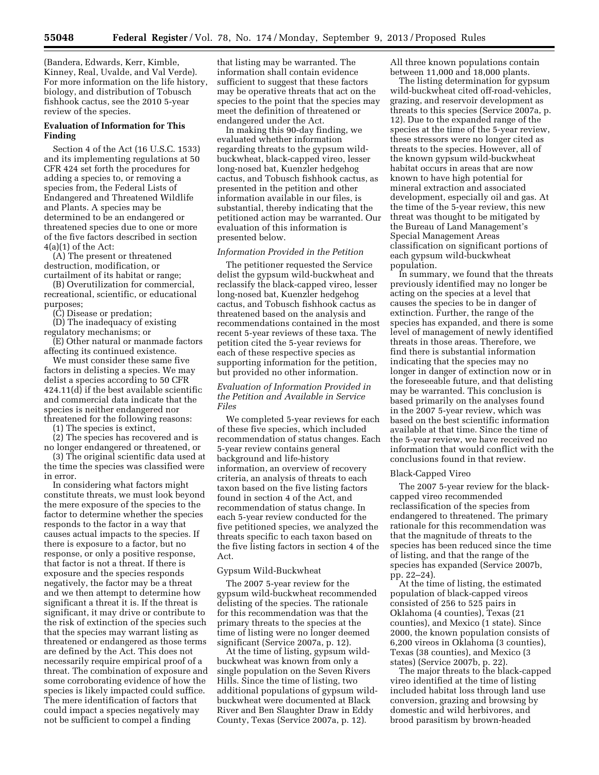(Bandera, Edwards, Kerr, Kimble, Kinney, Real, Uvalde, and Val Verde). For more information on the life history, biology, and distribution of Tobusch fishhook cactus, see the 2010 5-year review of the species.

## **Evaluation of Information for This Finding**

Section 4 of the Act (16 U.S.C. 1533) and its implementing regulations at 50 CFR 424 set forth the procedures for adding a species to, or removing a species from, the Federal Lists of Endangered and Threatened Wildlife and Plants. A species may be determined to be an endangered or threatened species due to one or more of the five factors described in section  $4(a)(1)$  of the Act:

(A) The present or threatened destruction, modification, or curtailment of its habitat or range;

(B) Overutilization for commercial, recreational, scientific, or educational purposes;

(C) Disease or predation;

(D) The inadequacy of existing regulatory mechanisms; or

(E) Other natural or manmade factors affecting its continued existence.

We must consider these same five factors in delisting a species. We may delist a species according to 50 CFR 424.11(d) if the best available scientific and commercial data indicate that the species is neither endangered nor threatened for the following reasons:

(1) The species is extinct,

(2) The species has recovered and is no longer endangered or threatened, or

(3) The original scientific data used at the time the species was classified were in error.

In considering what factors might constitute threats, we must look beyond the mere exposure of the species to the factor to determine whether the species responds to the factor in a way that causes actual impacts to the species. If there is exposure to a factor, but no response, or only a positive response, that factor is not a threat. If there is exposure and the species responds negatively, the factor may be a threat and we then attempt to determine how significant a threat it is. If the threat is significant, it may drive or contribute to the risk of extinction of the species such that the species may warrant listing as threatened or endangered as those terms are defined by the Act. This does not necessarily require empirical proof of a threat. The combination of exposure and some corroborating evidence of how the species is likely impacted could suffice. The mere identification of factors that could impact a species negatively may not be sufficient to compel a finding

that listing may be warranted. The information shall contain evidence sufficient to suggest that these factors may be operative threats that act on the species to the point that the species may meet the definition of threatened or endangered under the Act.

In making this 90-day finding, we evaluated whether information regarding threats to the gypsum wildbuckwheat, black-capped vireo, lesser long-nosed bat, Kuenzler hedgehog cactus, and Tobusch fishhook cactus, as presented in the petition and other information available in our files, is substantial, thereby indicating that the petitioned action may be warranted. Our evaluation of this information is presented below.

## *Information Provided in the Petition*

The petitioner requested the Service delist the gypsum wild-buckwheat and reclassify the black-capped vireo, lesser long-nosed bat, Kuenzler hedgehog cactus, and Tobusch fishhook cactus as threatened based on the analysis and recommendations contained in the most recent 5-year reviews of these taxa. The petition cited the 5-year reviews for each of these respective species as supporting information for the petition, but provided no other information.

*Evaluation of Information Provided in the Petition and Available in Service Files* 

We completed 5-year reviews for each of these five species, which included recommendation of status changes. Each 5-year review contains general background and life-history information, an overview of recovery criteria, an analysis of threats to each taxon based on the five listing factors found in section 4 of the Act, and recommendation of status change. In each 5-year review conducted for the five petitioned species, we analyzed the threats specific to each taxon based on the five listing factors in section 4 of the Act.

### Gypsum Wild-Buckwheat

The 2007 5-year review for the gypsum wild-buckwheat recommended delisting of the species. The rationale for this recommendation was that the primary threats to the species at the time of listing were no longer deemed significant (Service 2007a, p. 12).

At the time of listing, gypsum wildbuckwheat was known from only a single population on the Seven Rivers Hills. Since the time of listing, two additional populations of gypsum wildbuckwheat were documented at Black River and Ben Slaughter Draw in Eddy County, Texas (Service 2007a, p. 12).

All three known populations contain between 11,000 and 18,000 plants.

The listing determination for gypsum wild-buckwheat cited off-road-vehicles, grazing, and reservoir development as threats to this species (Service 2007a, p. 12). Due to the expanded range of the species at the time of the 5-year review, these stressors were no longer cited as threats to the species. However, all of the known gypsum wild-buckwheat habitat occurs in areas that are now known to have high potential for mineral extraction and associated development, especially oil and gas. At the time of the 5-year review, this new threat was thought to be mitigated by the Bureau of Land Management's Special Management Areas classification on significant portions of each gypsum wild-buckwheat population.

In summary, we found that the threats previously identified may no longer be acting on the species at a level that causes the species to be in danger of extinction. Further, the range of the species has expanded, and there is some level of management of newly identified threats in those areas. Therefore, we find there is substantial information indicating that the species may no longer in danger of extinction now or in the foreseeable future, and that delisting may be warranted. This conclusion is based primarily on the analyses found in the 2007 5-year review, which was based on the best scientific information available at that time. Since the time of the 5-year review, we have received no information that would conflict with the conclusions found in that review.

#### Black-Capped Vireo

The 2007 5-year review for the blackcapped vireo recommended reclassification of the species from endangered to threatened. The primary rationale for this recommendation was that the magnitude of threats to the species has been reduced since the time of listing, and that the range of the species has expanded (Service 2007b, pp. 22–24).

At the time of listing, the estimated population of black-capped vireos consisted of 256 to 525 pairs in Oklahoma (4 counties), Texas (21 counties), and Mexico (1 state). Since 2000, the known population consists of 6,200 vireos in Oklahoma (3 counties), Texas (38 counties), and Mexico (3 states) (Service 2007b, p. 22).

The major threats to the black-capped vireo identified at the time of listing included habitat loss through land use conversion, grazing and browsing by domestic and wild herbivores, and brood parasitism by brown-headed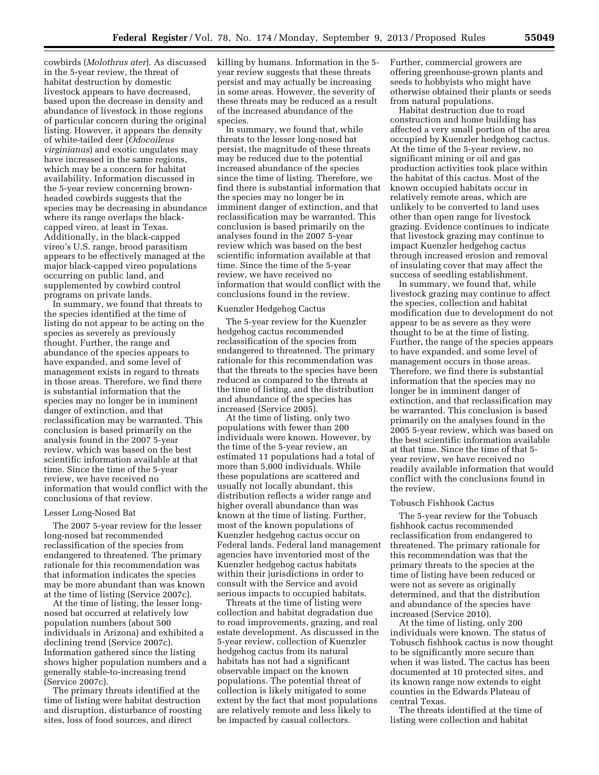cowbirds (*Molothrus ater*). As discussed in the 5-year review, the threat of habitat destruction by domestic livestock appears to have decreased, based upon the decrease in density and abundance of livestock in those regions of particular concern during the original listing. However, it appears the density of white-tailed deer (*Odocoileus virginianus*) and exotic ungulates may have increased in the same regions, which may be a concern for habitat availability. Information discussed in the 5-year review concerning brownheaded cowbirds suggests that the species may be decreasing in abundance where its range overlaps the blackcapped vireo, at least in Texas. Additionally, in the black-capped vireo's U.S. range, brood parasitism appears to be effectively managed at the major black-capped vireo populations occurring on public land, and supplemented by cowbird control programs on private lands.

In summary, we found that threats to the species identified at the time of listing do not appear to be acting on the species as severely as previously thought. Further, the range and abundance of the species appears to have expanded, and some level of management exists in regard to threats in those areas. Therefore, we find there is substantial information that the species may no longer be in imminent danger of extinction, and that reclassification may be warranted. This conclusion is based primarily on the analysis found in the 2007 5-year review, which was based on the best scientific information available at that time. Since the time of the 5-year review, we have received no information that would conflict with the conclusions of that review.

#### Lesser Long-Nosed Bat

The 2007 5-year review for the lesser long-nosed bat recommended reclassification of the species from endangered to threatened. The primary rationale for this recommendation was that information indicates the species may be more abundant than was known at the time of listing (Service 2007c).

At the time of listing, the lesser longnosed bat occurred at relatively low population numbers (about 500 individuals in Arizona) and exhibited a declining trend (Service 2007c). Information gathered since the listing shows higher population numbers and a generally stable-to-increasing trend (Service 2007c).

The primary threats identified at the time of listing were habitat destruction and disruption, disturbance of roosting sites, loss of food sources, and direct

killing by humans. Information in the 5 year review suggests that these threats persist and may actually be increasing in some areas. However, the severity of these threats may be reduced as a result of the increased abundance of the species.

In summary, we found that, while threats to the lesser long-nosed bat persist, the magnitude of these threats may be reduced due to the potential increased abundance of the species since the time of listing. Therefore, we find there is substantial information that the species may no longer be in imminent danger of extinction, and that reclassification may be warranted. This conclusion is based primarily on the analyses found in the 2007 5-year review which was based on the best scientific information available at that time. Since the time of the 5-year review, we have received no information that would conflict with the conclusions found in the review.

#### Kuenzler Hedgehog Cactus

The 5-year review for the Kuenzler hedgehog cactus recommended reclassification of the species from endangered to threatened. The primary rationale for this recommendation was that the threats to the species have been reduced as compared to the threats at the time of listing, and the distribution and abundance of the species has increased (Service 2005).

At the time of listing, only two populations with fewer than 200 individuals were known. However, by the time of the 5-year review, an estimated 11 populations had a total of more than 5,000 individuals. While these populations are scattered and usually not locally abundant, this distribution reflects a wider range and higher overall abundance than was known at the time of listing. Further, most of the known populations of Kuenzler hedgehog cactus occur on Federal lands. Federal land management agencies have inventoried most of the Kuenzler hedgehog cactus habitats within their jurisdictions in order to consult with the Service and avoid serious impacts to occupied habitats.

Threats at the time of listing were collection and habitat degradation due to road improvements, grazing, and real estate development. As discussed in the 5-year review, collection of Kuenzler hedgehog cactus from its natural habitats has not had a significant observable impact on the known populations. The potential threat of collection is likely mitigated to some extent by the fact that most populations are relatively remote and less likely to be impacted by casual collectors.

Further, commercial growers are offering greenhouse-grown plants and seeds to hobbyists who might have otherwise obtained their plants or seeds from natural populations.

Habitat destruction due to road construction and home building has affected a very small portion of the area occupied by Kuenzler hedgehog cactus. At the time of the 5-year review, no significant mining or oil and gas production activities took place within the habitat of this cactus. Most of the known occupied habitats occur in relatively remote areas, which are unlikely to be converted to land uses other than open range for livestock grazing. Evidence continues to indicate that livestock grazing may continue to impact Kuenzler hedgehog cactus through increased erosion and removal of insulating cover that may affect the success of seedling establishment.

In summary, we found that, while livestock grazing may continue to affect the species, collection and habitat modification due to development do not appear to be as severe as they were thought to be at the time of listing. Further, the range of the species appears to have expanded, and some level of management occurs in those areas. Therefore, we find there is substantial information that the species may no longer be in imminent danger of extinction, and that reclassification may be warranted. This conclusion is based primarily on the analyses found in the 2005 5-year review, which was based on the best scientific information available at that time. Since the time of that 5 year review, we have received no readily available information that would conflict with the conclusions found in the review.

#### Tobusch Fishhook Cactus

The 5-year review for the Tobusch fishhook cactus recommended reclassification from endangered to threatened. The primary rationale for this recommendation was that the primary threats to the species at the time of listing have been reduced or were not as severe as originally determined, and that the distribution and abundance of the species have increased (Service 2010).

At the time of listing, only 200 individuals were known. The status of Tobusch fishhook cactus is now thought to be significantly more secure than when it was listed. The cactus has been documented at 10 protected sites, and its known range now extends to eight counties in the Edwards Plateau of central Texas.

The threats identified at the time of listing were collection and habitat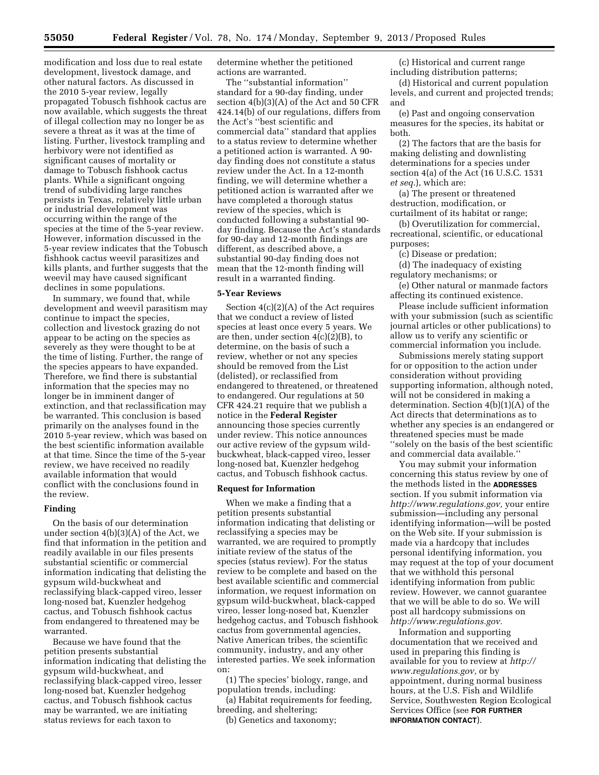modification and loss due to real estate development, livestock damage, and other natural factors. As discussed in the 2010 5-year review, legally propagated Tobusch fishhook cactus are now available, which suggests the threat of illegal collection may no longer be as severe a threat as it was at the time of listing. Further, livestock trampling and herbivory were not identified as significant causes of mortality or damage to Tobusch fishhook cactus plants. While a significant ongoing trend of subdividing large ranches persists in Texas, relatively little urban or industrial development was occurring within the range of the species at the time of the 5-year review. However, information discussed in the 5-year review indicates that the Tobusch fishhook cactus weevil parasitizes and kills plants, and further suggests that the weevil may have caused significant declines in some populations.

In summary, we found that, while development and weevil parasitism may continue to impact the species, collection and livestock grazing do not appear to be acting on the species as severely as they were thought to be at the time of listing. Further, the range of the species appears to have expanded. Therefore, we find there is substantial information that the species may no longer be in imminent danger of extinction, and that reclassification may be warranted. This conclusion is based primarily on the analyses found in the 2010 5-year review, which was based on the best scientific information available at that time. Since the time of the 5-year review, we have received no readily available information that would conflict with the conclusions found in the review.

## **Finding**

On the basis of our determination under section 4(b)(3)(A) of the Act, we find that information in the petition and readily available in our files presents substantial scientific or commercial information indicating that delisting the gypsum wild-buckwheat and reclassifying black-capped vireo, lesser long-nosed bat, Kuenzler hedgehog cactus, and Tobusch fishhook cactus from endangered to threatened may be warranted.

Because we have found that the petition presents substantial information indicating that delisting the gypsum wild-buckwheat, and reclassifying black-capped vireo, lesser long-nosed bat, Kuenzler hedgehog cactus, and Tobusch fishhook cactus may be warranted, we are initiating status reviews for each taxon to

determine whether the petitioned actions are warranted.

The ''substantial information'' standard for a 90-day finding, under section 4(b)(3)(A) of the Act and 50 CFR 424.14(b) of our regulations, differs from the Act's ''best scientific and commercial data'' standard that applies to a status review to determine whether a petitioned action is warranted. A 90 day finding does not constitute a status review under the Act. In a 12-month finding, we will determine whether a petitioned action is warranted after we have completed a thorough status review of the species, which is conducted following a substantial 90 day finding. Because the Act's standards for 90-day and 12-month findings are different, as described above, a substantial 90-day finding does not mean that the 12-month finding will result in a warranted finding.

#### **5-Year Reviews**

Section 4(c)(2)(A) of the Act requires that we conduct a review of listed species at least once every 5 years. We are then, under section  $4(c)(2)(B)$ , to determine, on the basis of such a review, whether or not any species should be removed from the List (delisted), or reclassified from endangered to threatened, or threatened to endangered. Our regulations at 50 CFR 424.21 require that we publish a notice in the **Federal Register**  announcing those species currently under review. This notice announces our active review of the gypsum wildbuckwheat, black-capped vireo, lesser long-nosed bat, Kuenzler hedgehog cactus, and Tobusch fishhook cactus.

## **Request for Information**

When we make a finding that a petition presents substantial information indicating that delisting or reclassifying a species may be warranted, we are required to promptly initiate review of the status of the species (status review). For the status review to be complete and based on the best available scientific and commercial information, we request information on gypsum wild-buckwheat, black-capped vireo, lesser long-nosed bat, Kuenzler hedgehog cactus, and Tobusch fishhook cactus from governmental agencies, Native American tribes, the scientific community, industry, and any other interested parties. We seek information on:

(1) The species' biology, range, and population trends, including:

(a) Habitat requirements for feeding, breeding, and sheltering;

(b) Genetics and taxonomy;

(c) Historical and current range including distribution patterns;

(d) Historical and current population levels, and current and projected trends; and

(e) Past and ongoing conservation measures for the species, its habitat or both.

(2) The factors that are the basis for making delisting and downlisting determinations for a species under section 4(a) of the Act (16 U.S.C. 1531 *et seq.*), which are:

(a) The present or threatened destruction, modification, or curtailment of its habitat or range;

(b) Overutilization for commercial, recreational, scientific, or educational purposes;

(c) Disease or predation;

(d) The inadequacy of existing regulatory mechanisms; or

(e) Other natural or manmade factors affecting its continued existence.

Please include sufficient information with your submission (such as scientific journal articles or other publications) to allow us to verify any scientific or commercial information you include.

Submissions merely stating support for or opposition to the action under consideration without providing supporting information, although noted, will not be considered in making a determination. Section 4(b)(1)(A) of the Act directs that determinations as to whether any species is an endangered or threatened species must be made ''solely on the basis of the best scientific and commercial data available.''

You may submit your information concerning this status review by one of the methods listed in the **ADDRESSES** section. If you submit information via *[http://www.regulations.gov,](http://www.regulations.gov)* your entire submission—including any personal identifying information—will be posted on the Web site. If your submission is made via a hardcopy that includes personal identifying information, you may request at the top of your document that we withhold this personal identifying information from public review. However, we cannot guarantee that we will be able to do so. We will post all hardcopy submissions on *[http://www.regulations.gov.](http://www.regulations.gov)* 

Information and supporting documentation that we received and used in preparing this finding is available for you to review at *[http://](http://www.regulations.gov)  [www.regulations.gov,](http://www.regulations.gov)* or by appointment, during normal business hours, at the U.S. Fish and Wildlife Service, Southwesten Region Ecological Services Office (see **FOR FURTHER INFORMATION CONTACT**).